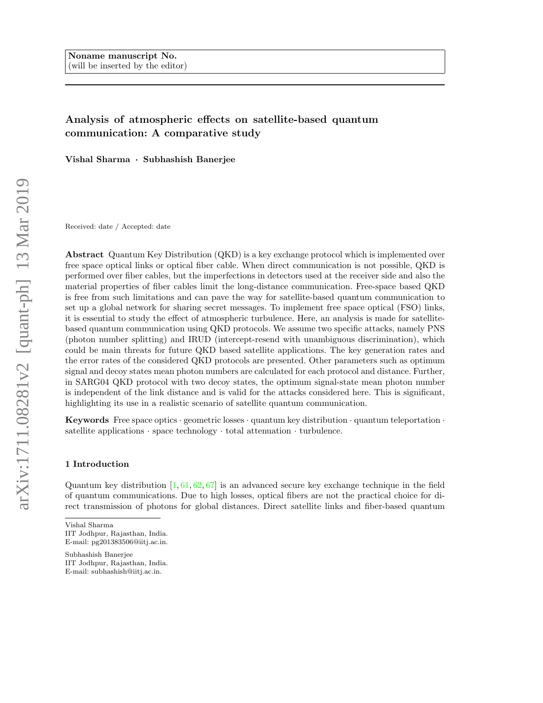# Analysis of atmospheric effects on satellite-based quantum communication: A comparative study

Vishal Sharma · Subhashish Banerjee

Received: date / Accepted: date

Abstract Quantum Key Distribution (QKD) is a key exchange protocol which is implemented over free space optical links or optical fiber cable. When direct communication is not possible, QKD is performed over fiber cables, but the imperfections in detectors used at the receiver side and also the material properties of fiber cables limit the long-distance communication. Free-space based QKD is free from such limitations and can pave the way for satellite-based quantum communication to set up a global network for sharing secret messages. To implement free space optical (FSO) links, it is essential to study the effect of atmospheric turbulence. Here, an analysis is made for satellitebased quantum communication using QKD protocols. We assume two specific attacks, namely PNS (photon number splitting) and IRUD (intercept-resend with unambiguous discrimination), which could be main threats for future QKD based satellite applications. The key generation rates and the error rates of the considered QKD protocols are presented. Other parameters such as optimum signal and decoy states mean photon numbers are calculated for each protocol and distance. Further, in SARG04 QKD protocol with two decoy states, the optimum signal-state mean photon number is independent of the link distance and is valid for the attacks considered here. This is significant, highlighting its use in a realistic scenario of satellite quantum communication.

**Keywords** Free space optics · geometric losses · quantum key distribution · quantum teleportation · satellite applications  $\cdot$  space technology  $\cdot$  total attenuation  $\cdot$  turbulence.

### 1 Introduction

Quantum key distribution  $[1, 61, 62, 67]$  is an advanced secure key exchange technique in the field of quantum communications. Due to high losses, optical fibers are not the practical choice for direct transmission of photons for global distances. Direct satellite links and fiber-based quantum

Subhashish Banerjee IIT Jodhpur, Rajasthan, India. E-mail: subhashish@iitj.ac.in.

Vishal Sharma IIT Jodhpur, Rajasthan, India. E-mail: pg201383506@iitj.ac.in.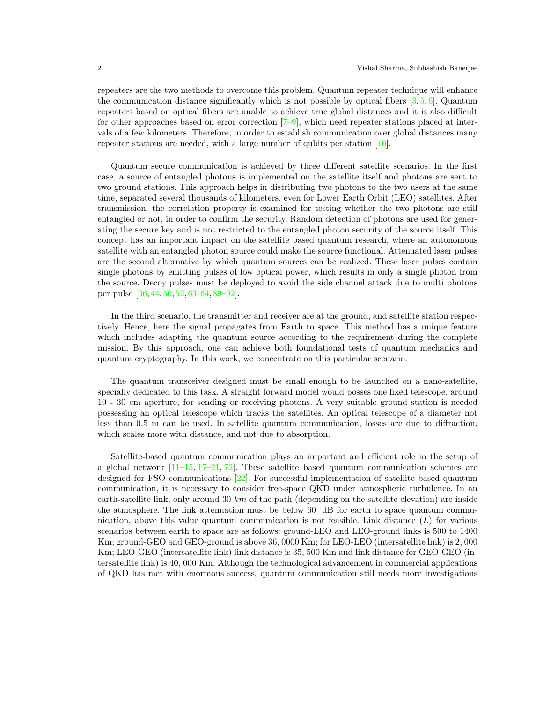repeaters are the two methods to overcome this problem. Quantum repeater technique will enhance the communication distance significantly which is not possible by optical fibers  $[3, 5, 6]$ . Quantum repeaters based on optical fibers are unable to achieve true global distances and it is also difficult for other approaches based on error correction [7–9], which need repeater stations placed at intervals of a few kilometers. Therefore, in order to establish communication over global distances many repeater stations are needed, with a large number of qubits per station [10].

Quantum secure communication is achieved by three different satellite scenarios. In the first case, a source of entangled photons is implemented on the satellite itself and photons are sent to two ground stations. This approach helps in distributing two photons to the two users at the same time, separated several thousands of kilometers, even for Lower Earth Orbit (LEO) satellites. After transmission, the correlation property is examined for testing whether the two photons are still entangled or not, in order to confirm the security. Random detection of photons are used for generating the secure key and is not restricted to the entangled photon security of the source itself. This concept has an important impact on the satellite based quantum research, where an autonomous satellite with an entangled photon source could make the source functional. Attenuated laser pulses are the second alternative by which quantum sources can be realized. These laser pulses contain single photons by emitting pulses of low optical power, which results in only a single photon from the source. Decoy pulses must be deployed to avoid the side channel attack due to multi photons per pulse [36, 44, 50, 52, 63, 64, 89–92].

In the third scenario, the transmitter and receiver are at the ground, and satellite station respectively. Hence, here the signal propagates from Earth to space. This method has a unique feature which includes adapting the quantum source according to the requirement during the complete mission. By this approach, one can achieve both foundational tests of quantum mechanics and quantum cryptography. In this work, we concentrate on this particular scenario.

The quantum transceiver designed must be small enough to be launched on a nano-satellite, specially dedicated to this task. A straight forward model would posses one fixed telescope, around 10 - 30 cm aperture, for sending or receiving photons. A very suitable ground station is needed possessing an optical telescope which tracks the satellites. An optical telescope of a diameter not less than 0.5 m can be used. In satellite quantum communication, losses are due to diffraction, which scales more with distance, and not due to absorption.

Satellite-based quantum communication plays an important and efficient role in the setup of a global network  $[11-15, 17-21, 72]$ . These satellite based quantum communication schemes are designed for FSO communications [22]. For successful implementation of satellite based quantum communication, it is necessary to consider free-space QKD under atmospheric turbulence. In an earth-satellite link, only around 30 km of the path (depending on the satellite elevation) are inside the atmosphere. The link attenuation must be below 60 dB for earth to space quantum communication, above this value quantum communication is not feasible. Link distance  $(L)$  for various scenarios between earth to space are as follows: ground-LEO and LEO-ground links is 500 to 1400 Km; ground-GEO and GEO-ground is above 36, 0000 Km; for LEO-LEO (intersatellite link) is 2, 000 Km; LEO-GEO (intersatellite link) link distance is 35, 500 Km and link distance for GEO-GEO (intersatellite link) is 40, 000 Km. Although the technological advancement in commercial applications of QKD has met with enormous success, quantum communication still needs more investigations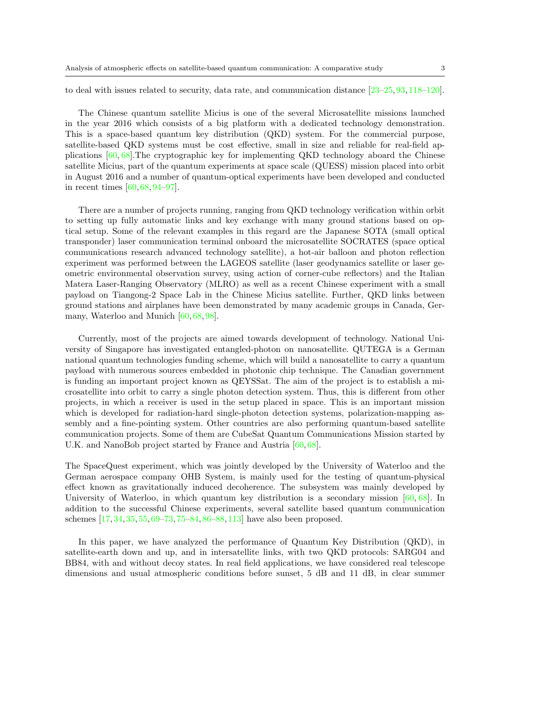to deal with issues related to security, data rate, and communication distance [23–25, 93, 118–120].

The Chinese quantum satellite Micius is one of the several Microsatellite missions launched in the year 2016 which consists of a big platform with a dedicated technology demonstration. This is a space-based quantum key distribution (QKD) system. For the commercial purpose, satellite-based QKD systems must be cost effective, small in size and reliable for real-field applications [60, 68].The cryptographic key for implementing QKD technology aboard the Chinese satellite Micius, part of the quantum experiments at space scale (QUESS) mission placed into orbit in August 2016 and a number of quantum-optical experiments have been developed and conducted in recent times [60, 68, 94–97].

There are a number of projects running, ranging from QKD technology verification within orbit to setting up fully automatic links and key exchange with many ground stations based on optical setup. Some of the relevant examples in this regard are the Japanese SOTA (small optical transponder) laser communication terminal onboard the microsatellite SOCRATES (space optical communications research advanced technology satellite), a hot-air balloon and photon reflection experiment was performed between the LAGEOS satellite (laser geodynamics satellite or laser geometric environmental observation survey, using action of corner-cube reflectors) and the Italian Matera Laser-Ranging Observatory (MLRO) as well as a recent Chinese experiment with a small payload on Tiangong-2 Space Lab in the Chinese Micius satellite. Further, QKD links between ground stations and airplanes have been demonstrated by many academic groups in Canada, Germany, Waterloo and Munich [60, 68, 98].

Currently, most of the projects are aimed towards development of technology. National University of Singapore has investigated entangled-photon on nanosatellite. QUTEGA is a German national quantum technologies funding scheme, which will build a nanosatellite to carry a quantum payload with numerous sources embedded in photonic chip technique. The Canadian government is funding an important project known as QEYSSat. The aim of the project is to establish a microsatellite into orbit to carry a single photon detection system. Thus, this is different from other projects, in which a receiver is used in the setup placed in space. This is an important mission which is developed for radiation-hard single-photon detection systems, polarization-mapping assembly and a fine-pointing system. Other countries are also performing quantum-based satellite communication projects. Some of them are CubeSat Quantum Communications Mission started by U.K. and NanoBob project started by France and Austria [60, 68].

The SpaceQuest experiment, which was jointly developed by the University of Waterloo and the German aerospace company OHB System, is mainly used for the testing of quantum-physical effect known as gravitationally induced decoherence. The subsystem was mainly developed by University of Waterloo, in which quantum key distribution is a secondary mission [60, 68]. In addition to the successful Chinese experiments, several satellite based quantum communication schemes [17, 34, 35, 55, 69–73, 75–84, 86–88, 113] have also been proposed.

In this paper, we have analyzed the performance of Quantum Key Distribution (QKD), in satellite-earth down and up, and in intersatellite links, with two QKD protocols: SARG04 and BB84, with and without decoy states. In real field applications, we have considered real telescope dimensions and usual atmospheric conditions before sunset, 5 dB and 11 dB, in clear summer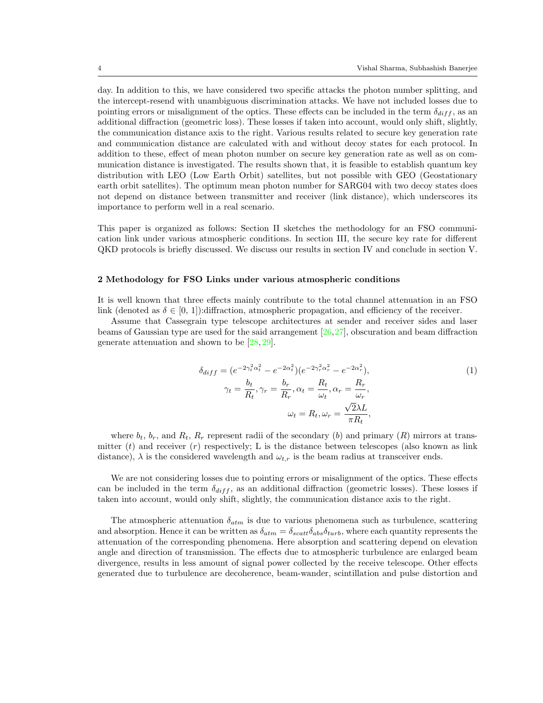day. In addition to this, we have considered two specific attacks the photon number splitting, and the intercept-resend with unambiguous discrimination attacks. We have not included losses due to pointing errors or misalignment of the optics. These effects can be included in the term  $\delta_{diff}$ , as an additional diffraction (geometric loss). These losses if taken into account, would only shift, slightly, the communication distance axis to the right. Various results related to secure key generation rate and communication distance are calculated with and without decoy states for each protocol. In addition to these, effect of mean photon number on secure key generation rate as well as on communication distance is investigated. The results shown that, it is feasible to establish quantum key distribution with LEO (Low Earth Orbit) satellites, but not possible with GEO (Geostationary earth orbit satellites). The optimum mean photon number for SARG04 with two decoy states does not depend on distance between transmitter and receiver (link distance), which underscores its importance to perform well in a real scenario.

This paper is organized as follows: Section II sketches the methodology for an FSO communication link under various atmospheric conditions. In section III, the secure key rate for different QKD protocols is briefly discussed. We discuss our results in section IV and conclude in section V.

#### 2 Methodology for FSO Links under various atmospheric conditions

It is well known that three effects mainly contribute to the total channel attenuation in an FSO link (denoted as  $\delta \in [0, 1]$ ):diffraction, atmospheric propagation, and efficiency of the receiver.

Assume that Cassegrain type telescope architectures at sender and receiver sides and laser beams of Gaussian type are used for the said arrangement [26,27], obscuration and beam diffraction generate attenuation and shown to be [28, 29].

$$
\delta_{diff} = (e^{-2\gamma_t^2 \alpha_t^2} - e^{-2\alpha_t^2})(e^{-2\gamma_r^2 \alpha_r^2} - e^{-2\alpha_r^2}),
$$
  
\n
$$
\gamma_t = \frac{b_t}{R_t}, \gamma_r = \frac{b_r}{R_r}, \alpha_t = \frac{R_t}{\omega_t}, \alpha_r = \frac{R_r}{\omega_r},
$$
  
\n
$$
\omega_t = R_t, \omega_r = \frac{\sqrt{2}\lambda L}{\pi R_t},
$$
\n(1)

where  $b_t$ ,  $b_r$ , and  $R_t$ ,  $R_r$  represent radii of the secondary (b) and primary (R) mirrors at transmitter  $(t)$  and receiver  $(r)$  respectively; L is the distance between telescopes (also known as link distance),  $\lambda$  is the considered wavelength and  $\omega_{t,r}$  is the beam radius at transceiver ends.

We are not considering losses due to pointing errors or misalignment of the optics. These effects can be included in the term  $\delta_{diff}$ , as an additional diffraction (geometric losses). These losses if taken into account, would only shift, slightly, the communication distance axis to the right.

The atmospheric attenuation  $\delta_{atm}$  is due to various phenomena such as turbulence, scattering and absorption. Hence it can be written as  $\delta_{atm} = \delta_{scatt}\delta_{abs}\delta_{turb}$ , where each quantity represents the attenuation of the corresponding phenomena. Here absorption and scattering depend on elevation angle and direction of transmission. The effects due to atmospheric turbulence are enlarged beam divergence, results in less amount of signal power collected by the receive telescope. Other effects generated due to turbulence are decoherence, beam-wander, scintillation and pulse distortion and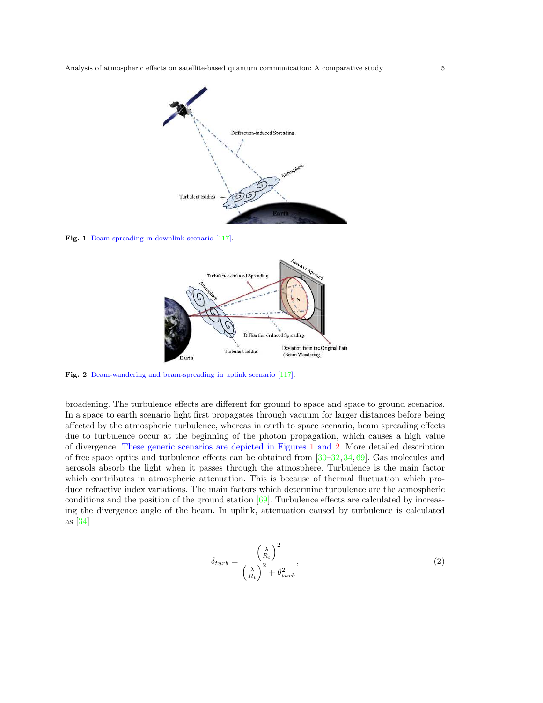

Fig. 1 Beam-spreading in downlink scenario [117].



Fig. 2 Beam-wandering and beam-spreading in uplink scenario [117].

broadening. The turbulence effects are different for ground to space and space to ground scenarios. In a space to earth scenario light first propagates through vacuum for larger distances before being affected by the atmospheric turbulence, whereas in earth to space scenario, beam spreading effects due to turbulence occur at the beginning of the photon propagation, which causes a high value of divergence. These generic scenarios are depicted in Figures 1 and 2. More detailed description of free space optics and turbulence effects can be obtained from [30–32, 34, 69]. Gas molecules and aerosols absorb the light when it passes through the atmosphere. Turbulence is the main factor which contributes in atmospheric attenuation. This is because of thermal fluctuation which produce refractive index variations. The main factors which determine turbulence are the atmospheric conditions and the position of the ground station [69]. Turbulence effects are calculated by increasing the divergence angle of the beam. In uplink, attenuation caused by turbulence is calculated as [34]

$$
\delta_{turb} = \frac{\left(\frac{\lambda}{R_t}\right)^2}{\left(\frac{\lambda}{R_t}\right)^2 + \theta_{turb}^2},\tag{2}
$$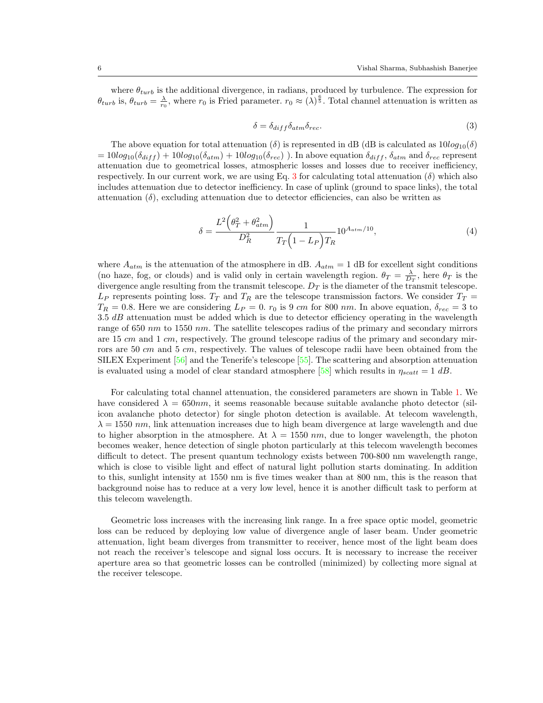where  $\theta_{turb}$  is the additional divergence, in radians, produced by turbulence. The expression for  $\theta_{turb}$  is,  $\theta_{turb} = \frac{\lambda}{r_0}$ , where  $r_0$  is Fried parameter.  $r_0 \approx (\lambda)^{\frac{6}{5}}$ . Total channel attenuation is written as

$$
\delta = \delta_{diff} \delta_{atm} \delta_{rec}.\tag{3}
$$

The above equation for total attenuation ( $\delta$ ) is represented in dB (dB is calculated as  $10log_{10}(\delta)$  $= 10log_{10}(\delta_{diff}) + 10log_{10}(\delta_{atm}) + 10log_{10}(\delta_{rec})$ . In above equation  $\delta_{diff}$ ,  $\delta_{atm}$  and  $\delta_{rec}$  represent attenuation due to geometrical losses, atmospheric losses and losses due to receiver inefficiency, respectively. In our current work, we are using Eq. 3 for calculating total attenuation  $(\delta)$  which also includes attenuation due to detector inefficiency. In case of uplink (ground to space links), the total attenuation  $(\delta)$ , excluding attenuation due to detector efficiencies, can also be written as

$$
\delta = \frac{L^2 \left(\theta_T^2 + \theta_{atm}^2\right)}{D_R^2} \frac{1}{T_T \left(1 - L_P\right) T_R} 10^{A_{atm}/10},\tag{4}
$$

where  $A_{atm}$  is the attenuation of the atmosphere in dB.  $A_{atm} = 1$  dB for excellent sight conditions (no haze, fog, or clouds) and is valid only in certain wavelength region.  $\theta_T = \frac{\lambda}{D_T}$ , here  $\theta_T$  is the divergence angle resulting from the transmit telescope.  $D_T$  is the diameter of the transmit telescope.  $L_P$  represents pointing loss.  $T_T$  and  $T_R$  are the telescope transmission factors. We consider  $T_T$  =  $T_R = 0.8$ . Here we are considering  $L_P = 0$ .  $r_0$  is 9 cm for 800 nm. In above equation,  $\delta_{rec} = 3$  to  $3.5$   $dB$  attenuation must be added which is due to detector efficiency operating in the wavelength range of 650 nm to 1550 nm. The satellite telescopes radius of the primary and secondary mirrors are 15  $cm$  and 1  $cm$ , respectively. The ground telescope radius of the primary and secondary mirrors are 50 cm and 5 cm, respectively. The values of telescope radii have been obtained from the SILEX Experiment [56] and the Tenerife's telescope [55]. The scattering and absorption attenuation is evaluated using a model of clear standard atmosphere [58] which results in  $\eta_{scatt} = 1$  dB.

For calculating total channel attenuation, the considered parameters are shown in Table 1. We have considered  $\lambda = 650nm$ , it seems reasonable because suitable avalanche photo detector (silicon avalanche photo detector) for single photon detection is available. At telecom wavelength,  $\lambda = 1550 \ nm$ , link attenuation increases due to high beam divergence at large wavelength and due to higher absorption in the atmosphere. At  $\lambda = 1550$  nm, due to longer wavelength, the photon becomes weaker, hence detection of single photon particularly at this telecom wavelength becomes difficult to detect. The present quantum technology exists between 700-800 nm wavelength range, which is close to visible light and effect of natural light pollution starts dominating. In addition to this, sunlight intensity at 1550 nm is five times weaker than at 800 nm, this is the reason that background noise has to reduce at a very low level, hence it is another difficult task to perform at this telecom wavelength.

Geometric loss increases with the increasing link range. In a free space optic model, geometric loss can be reduced by deploying low value of divergence angle of laser beam. Under geometric attenuation, light beam diverges from transmitter to receiver, hence most of the light beam does not reach the receiver's telescope and signal loss occurs. It is necessary to increase the receiver aperture area so that geometric losses can be controlled (minimized) by collecting more signal at the receiver telescope.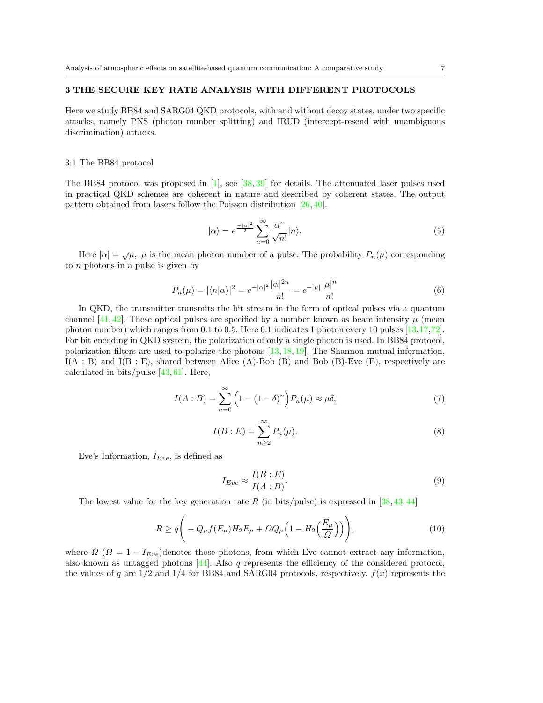### 3 THE SECURE KEY RATE ANALYSIS WITH DIFFERENT PROTOCOLS

Here we study BB84 and SARG04 QKD protocols, with and without decoy states, under two specific attacks, namely PNS (photon number splitting) and IRUD (intercept-resend with unambiguous discrimination) attacks.

#### 3.1 The BB84 protocol

The BB84 protocol was proposed in [1], see [38, 39] for details. The attenuated laser pulses used in practical QKD schemes are coherent in nature and described by coherent states. The output pattern obtained from lasers follow the Poisson distribution [26, 40].

$$
|\alpha\rangle = e^{\frac{-|\alpha|^2}{2}} \sum_{n=0}^{\infty} \frac{\alpha^n}{\sqrt{n!}} |n\rangle.
$$
 (5)

Here  $|\alpha| = \sqrt{\mu}$ ,  $\mu$  is the mean photon number of a pulse. The probability  $P_n(\mu)$  corresponding to  $n$  photons in a pulse is given by

$$
P_n(\mu) = |\langle n|\alpha\rangle|^2 = e^{-|\alpha|^2} \frac{|\alpha|^{2n}}{n!} = e^{-|\mu|} \frac{|\mu|^n}{n!}
$$
 (6)

In QKD, the transmitter transmits the bit stream in the form of optical pulses via a quantum channel [41, 42]. These optical pulses are specified by a number known as beam intensity  $\mu$  (mean photon number) which ranges from 0.1 to 0.5. Here 0.1 indicates 1 photon every 10 pulses [13,17,72]. For bit encoding in QKD system, the polarization of only a single photon is used. In BB84 protocol, polarization filters are used to polarize the photons  $[13, 18, 19]$ . The Shannon mutual information,  $I(A : B)$  and  $I(B : E)$ , shared between Alice  $(A)$ -Bob  $(B)$  and Bob  $(B)$ -Eve  $(E)$ , respectively are calculated in bits/pulse [43, 61]. Here,

$$
I(A:B) = \sum_{n=0}^{\infty} \left(1 - (1 - \delta)^n\right) P_n(\mu) \approx \mu \delta,\tag{7}
$$

$$
I(B:E) = \sum_{n=2}^{\infty} P_n(\mu).
$$
 (8)

Eve's Information,  $I_{Eve}$ , is defined as

$$
I_{Eve} \approx \frac{I(B:E)}{I(A:B)}.\t(9)
$$

The lowest value for the key generation rate R (in bits/pulse) is expressed in  $[38, 43, 44]$ 

$$
R \ge q \bigg( -Q_{\mu}f(E_{\mu})H_2E_{\mu} + \Omega Q_{\mu} \Big( 1 - H_2 \Big(\frac{E_{\mu}}{\Omega}\Big) \Big) \bigg), \tag{10}
$$

where  $\Omega$  ( $\Omega = 1 - I_{Eve}$ ) denotes those photons, from which Eve cannot extract any information, also known as untagged photons  $[44]$ . Also q represents the efficiency of the considered protocol, the values of q are  $1/2$  and  $1/4$  for BB84 and SARG04 protocols, respectively.  $f(x)$  represents the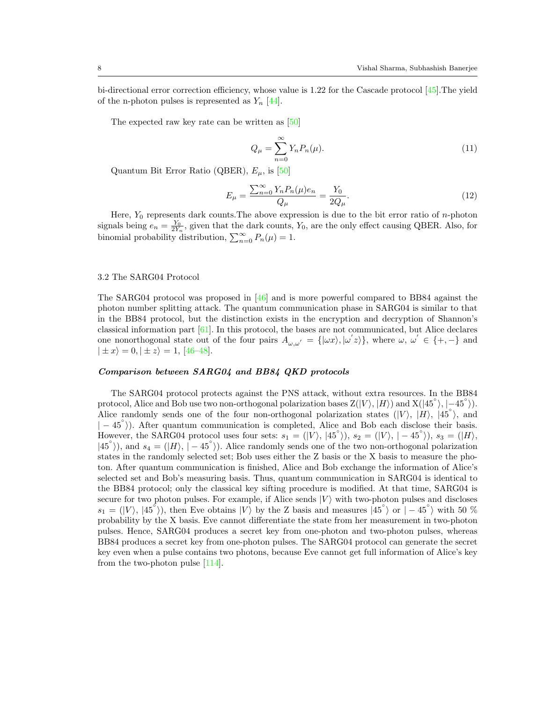bi-directional error correction efficiency, whose value is 1.22 for the Cascade protocol [45].The yield of the n-photon pulses is represented as  $Y_n$  [44].

The expected raw key rate can be written as [50]

$$
Q_{\mu} = \sum_{n=0}^{\infty} Y_n P_n(\mu). \tag{11}
$$

Quantum Bit Error Ratio (QBER),  $E_{\mu}$ , is [50]

$$
E_{\mu} = \frac{\sum_{n=0}^{\infty} Y_n P_n(\mu) e_n}{Q_{\mu}} = \frac{Y_0}{2Q_{\mu}}.
$$
\n(12)

Here,  $Y_0$  represents dark counts. The above expression is due to the bit error ratio of n-photon signals being  $e_n = \frac{Y_0}{2Y_n}$ , given that the dark counts,  $Y_0$ , are the only effect causing QBER. Also, for binomial probability distribution,  $\sum_{n=0}^{\infty} P_n(\mu) = 1$ .

### 3.2 The SARG04 Protocol

The SARG04 protocol was proposed in [46] and is more powerful compared to BB84 against the photon number splitting attack. The quantum communication phase in SARG04 is similar to that in the BB84 protocol, but the distinction exists in the encryption and decryption of Shannon's classical information part  $[61]$ . In this protocol, the bases are not communicated, but Alice declares one nonorthogonal state out of the four pairs  $A_{\omega,\omega'} = {\{\omega x\}, {\omega' z\}},$  where  $\omega, \omega' \in {\{+, -\}}$  and  $|\pm x\rangle = 0, |\pm z\rangle = 1, 46-48$ .

### Comparison between SARG04 and BB84 QKD protocols

The SARG04 protocol protects against the PNS attack, without extra resources. In the BB84 protocol, Alice and Bob use two non-orthogonal polarization bases  $Z(|V\rangle, |H\rangle)$  and  $X(|45°\rangle, |-45°\rangle)$ . Alice randomly sends one of the four non-orthogonal polarization states  $(|V\rangle, |H\rangle, |45°\rangle,$  and  $|-45^{\circ}\rangle$ ). After quantum communication is completed, Alice and Bob each disclose their basis. However, the SARG04 protocol uses four sets:  $s_1 = (|V\rangle, |45^\circ\rangle), s_2 = (|V\rangle, |-45^\circ\rangle), s_3 = (|H\rangle,$  $|45°\rangle$ ), and  $s_4 = (|H\rangle, |-45°\rangle)$ . Alice randomly sends one of the two non-orthogonal polarization states in the randomly selected set; Bob uses either the Z basis or the X basis to measure the photon. After quantum communication is finished, Alice and Bob exchange the information of Alice's selected set and Bob's measuring basis. Thus, quantum communication in SARG04 is identical to the BB84 protocol; only the classical key sifting procedure is modified. At that time, SARG04 is secure for two photon pulses. For example, if Alice sends  $|V\rangle$  with two-photon pulses and discloses  $s_1 = (|V\rangle, |45^\circ\rangle)$ , then Eve obtains  $|V\rangle$  by the Z basis and measures  $|45^\circ\rangle$  or  $|-45^\circ\rangle$  with 50 % probability by the X basis. Eve cannot differentiate the state from her measurement in two-photon pulses. Hence, SARG04 produces a secret key from one-photon and two-photon pulses, whereas BB84 produces a secret key from one-photon pulses. The SARG04 protocol can generate the secret key even when a pulse contains two photons, because Eve cannot get full information of Alice's key from the two-photon pulse [114].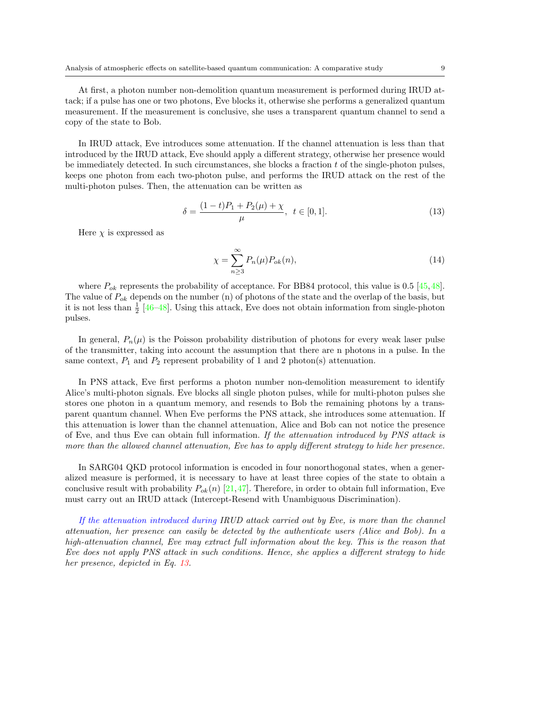At first, a photon number non-demolition quantum measurement is performed during IRUD attack; if a pulse has one or two photons, Eve blocks it, otherwise she performs a generalized quantum measurement. If the measurement is conclusive, she uses a transparent quantum channel to send a copy of the state to Bob.

In IRUD attack, Eve introduces some attenuation. If the channel attenuation is less than that introduced by the IRUD attack, Eve should apply a different strategy, otherwise her presence would be immediately detected. In such circumstances, she blocks a fraction  $t$  of the single-photon pulses, keeps one photon from each two-photon pulse, and performs the IRUD attack on the rest of the multi-photon pulses. Then, the attenuation can be written as

$$
\delta = \frac{(1-t)P_1 + P_2(\mu) + \chi}{\mu}, \ \ t \in [0,1]. \tag{13}
$$

Here  $\chi$  is expressed as

$$
\chi = \sum_{n=3}^{\infty} P_n(\mu) P_{ok}(n),\tag{14}
$$

where  $P_{ok}$  represents the probability of acceptance. For BB84 protocol, this value is 0.5 [45,48]. The value of  $P_{ok}$  depends on the number (n) of photons of the state and the overlap of the basis, but it is not less than  $\frac{1}{2}$  [46–48]. Using this attack, Eve does not obtain information from single-photon pulses.

In general,  $P_n(\mu)$  is the Poisson probability distribution of photons for every weak laser pulse of the transmitter, taking into account the assumption that there are n photons in a pulse. In the same context,  $P_1$  and  $P_2$  represent probability of 1 and 2 photon(s) attenuation.

In PNS attack, Eve first performs a photon number non-demolition measurement to identify Alice's multi-photon signals. Eve blocks all single photon pulses, while for multi-photon pulses she stores one photon in a quantum memory, and resends to Bob the remaining photons by a transparent quantum channel. When Eve performs the PNS attack, she introduces some attenuation. If this attenuation is lower than the channel attenuation, Alice and Bob can not notice the presence of Eve, and thus Eve can obtain full information. If the attenuation introduced by PNS attack is more than the allowed channel attenuation, Eve has to apply different strategy to hide her presence.

In SARG04 QKD protocol information is encoded in four nonorthogonal states, when a generalized measure is performed, it is necessary to have at least three copies of the state to obtain a conclusive result with probability  $P_{ok}(n)$  [21,47]. Therefore, in order to obtain full information, Eve must carry out an IRUD attack (Intercept-Resend with Unambiguous Discrimination).

If the attenuation introduced during IRUD attack carried out by Eve, is more than the channel attenuation, her presence can easily be detected by the authenticate users (Alice and Bob). In a high-attenuation channel, Eve may extract full information about the key. This is the reason that Eve does not apply PNS attack in such conditions. Hence, she applies a different strategy to hide her presence, depicted in Eq. 13.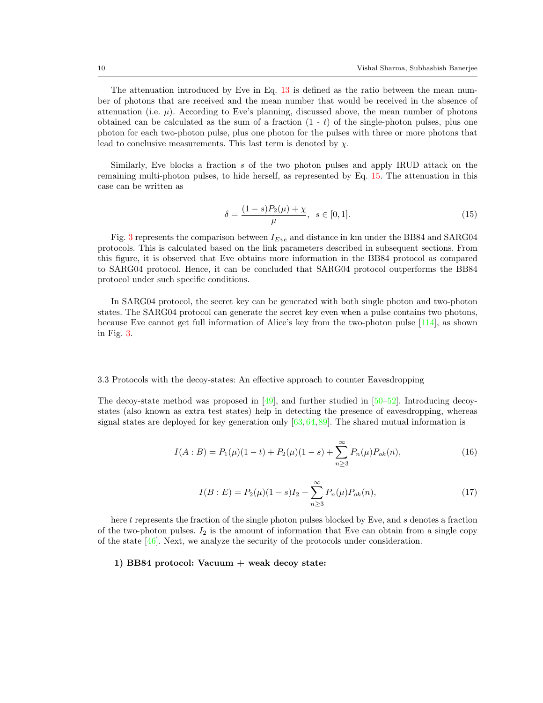The attenuation introduced by Eve in Eq. 13 is defined as the ratio between the mean number of photons that are received and the mean number that would be received in the absence of attenuation (i.e.  $\mu$ ). According to Eve's planning, discussed above, the mean number of photons obtained can be calculated as the sum of a fraction  $(1 - t)$  of the single-photon pulses, plus one photon for each two-photon pulse, plus one photon for the pulses with three or more photons that lead to conclusive measurements. This last term is denoted by  $\chi$ .

Similarly, Eve blocks a fraction  $s$  of the two photon pulses and apply IRUD attack on the remaining multi-photon pulses, to hide herself, as represented by Eq. 15. The attenuation in this case can be written as

$$
\delta = \frac{(1-s)P_2(\mu) + \chi}{\mu}, \ \ s \in [0,1]. \tag{15}
$$

Fig. 3 represents the comparison between  $I_{Eve}$  and distance in km under the BB84 and SARG04 protocols. This is calculated based on the link parameters described in subsequent sections. From this figure, it is observed that Eve obtains more information in the BB84 protocol as compared to SARG04 protocol. Hence, it can be concluded that SARG04 protocol outperforms the BB84 protocol under such specific conditions.

In SARG04 protocol, the secret key can be generated with both single photon and two-photon states. The SARG04 protocol can generate the secret key even when a pulse contains two photons, because Eve cannot get full information of Alice's key from the two-photon pulse [114], as shown in Fig. 3.

#### 3.3 Protocols with the decoy-states: An effective approach to counter Eavesdropping

The decoy-state method was proposed in  $[49]$ , and further studied in  $[50-52]$ . Introducing decoystates (also known as extra test states) help in detecting the presence of eavesdropping, whereas signal states are deployed for key generation only  $[63, 64, 89]$ . The shared mutual information is

$$
I(A:B) = P_1(\mu)(1-t) + P_2(\mu)(1-s) + \sum_{n \ge 3}^{\infty} P_n(\mu) P_{ok}(n),
$$
\n(16)

$$
I(B:E) = P_2(\mu)(1-s)I_2 + \sum_{n=3}^{\infty} P_n(\mu)P_{ok}(n),
$$
\n(17)

here t represents the fraction of the single photon pulses blocked by Eve, and s denotes a fraction of the two-photon pulses.  $I_2$  is the amount of information that Eve can obtain from a single copy of the state [46]. Next, we analyze the security of the protocols under consideration.

### 1) BB84 protocol: Vacuum  $+$  weak decoy state: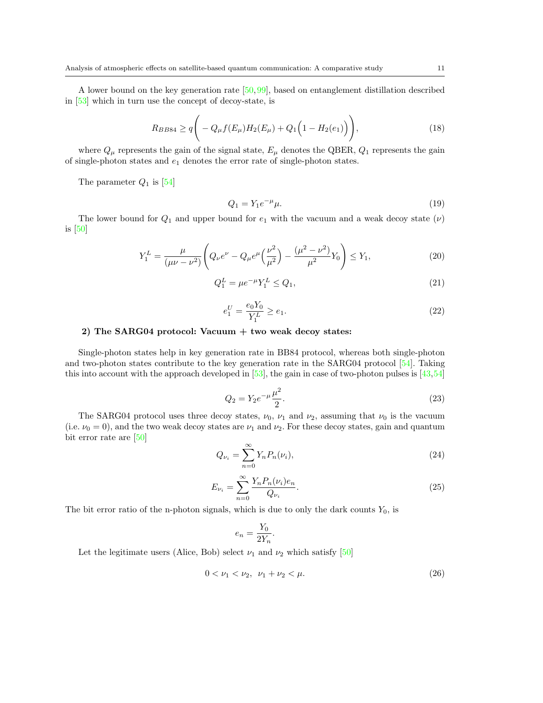A lower bound on the key generation rate [50,99], based on entanglement distillation described in [53] which in turn use the concept of decoy-state, is

$$
R_{BB84} \ge q \Bigg( -Q_{\mu} f(E_{\mu}) H_2(E_{\mu}) + Q_1 \Big( 1 - H_2(e_1) \Big) \Bigg), \tag{18}
$$

where  $Q_{\mu}$  represents the gain of the signal state,  $E_{\mu}$  denotes the QBER,  $Q_1$  represents the gain of single-photon states and  $e_1$  denotes the error rate of single-photon states.

The parameter  $Q_1$  is [54]

$$
Q_1 = Y_1 e^{-\mu} \mu. \tag{19}
$$

The lower bound for  $Q_1$  and upper bound for  $e_1$  with the vacuum and a weak decoy state  $(\nu)$ is [50]

$$
Y_1^L = \frac{\mu}{(\mu\nu - \nu^2)} \left( Q_\nu e^\nu - Q_\mu e^\mu \left( \frac{\nu^2}{\mu^2} \right) - \frac{(\mu^2 - \nu^2)}{\mu^2} Y_0 \right) \le Y_1,
$$
\n(20)

$$
Q_1^L = \mu e^{-\mu} Y_1^L \le Q_1,\tag{21}
$$

$$
e_1^U = \frac{e_0 Y_0}{Y_1^L} \ge e_1. \tag{22}
$$

## 2) The SARG04 protocol: Vacuum + two weak decoy states:

Single-photon states help in key generation rate in BB84 protocol, whereas both single-photon and two-photon states contribute to the key generation rate in the SARG04 protocol [54]. Taking this into account with the approach developed in  $[53]$ , the gain in case of two-photon pulses is  $[43,54]$ 

$$
Q_2 = Y_2 e^{-\mu} \frac{\mu^2}{2}.
$$
\n(23)

The SARG04 protocol uses three decoy states,  $\nu_0$ ,  $\nu_1$  and  $\nu_2$ , assuming that  $\nu_0$  is the vacuum (i.e.  $\nu_0 = 0$ ), and the two weak decoy states are  $\nu_1$  and  $\nu_2$ . For these decoy states, gain and quantum bit error rate are [50]

$$
Q_{\nu_i} = \sum_{n=0}^{\infty} Y_n P_n(\nu_i),
$$
\n(24)

$$
E_{\nu_i} = \sum_{n=0}^{\infty} \frac{Y_n P_n(\nu_i) e_n}{Q_{\nu_i}}.
$$
\n(25)

The bit error ratio of the n-photon signals, which is due to only the dark counts  $Y_0$ , is

$$
e_n = \frac{Y_0}{2Y_n}.
$$

Let the legitimate users (Alice, Bob) select  $\nu_1$  and  $\nu_2$  which satisfy [50]

$$
0 < \nu_1 < \nu_2, \ \nu_1 + \nu_2 < \mu. \tag{26}
$$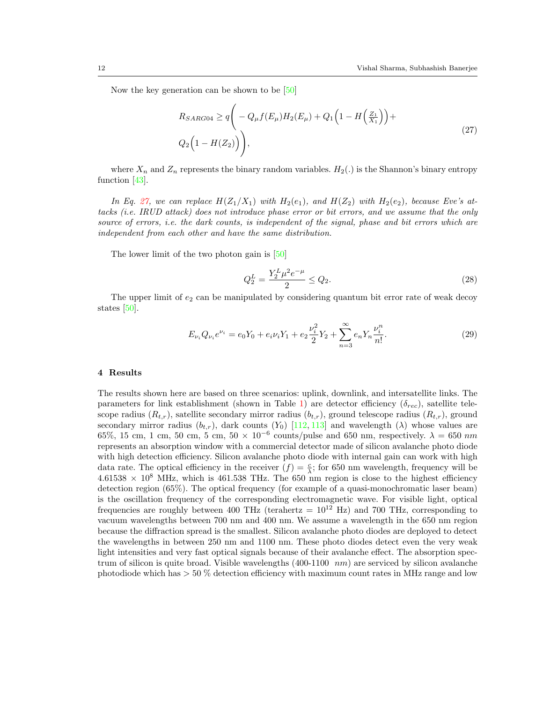Now the key generation can be shown to be [50]

$$
R_{SARG04} \ge q \bigg( -Q_{\mu}f(E_{\mu})H_2(E_{\mu}) + Q_1 \bigg(1 - H\bigg(\frac{Z_1}{X_1}\bigg)\bigg) +
$$
  
 
$$
Q_2 \bigg(1 - H(Z_2)\bigg) \bigg),
$$
 (27)

where  $X_n$  and  $Z_n$  represents the binary random variables.  $H_2(.)$  is the Shannon's binary entropy function [43].

In Eq. 27, we can replace  $H(Z_1/X_1)$  with  $H_2(e_1)$ , and  $H(Z_2)$  with  $H_2(e_2)$ , because Eve's attacks (i.e. IRUD attack) does not introduce phase error or bit errors, and we assume that the only source of errors, *i.e.* the dark counts, is independent of the signal, phase and bit errors which are independent from each other and have the same distribution.

The lower limit of the two photon gain is [50]

$$
Q_2^L = \frac{Y_2^L \mu^2 e^{-\mu}}{2} \le Q_2. \tag{28}
$$

The upper limit of  $e_2$  can be manipulated by considering quantum bit error rate of weak decoy states [50].

$$
E_{\nu_i} Q_{\nu_i} e^{\nu_i} = e_0 Y_0 + e_i \nu_i Y_1 + e_2 \frac{\nu_i^2}{2} Y_2 + \sum_{n=3}^{\infty} e_n Y_n \frac{\nu_i^n}{n!}.
$$
\n(29)

#### 4 Results

The results shown here are based on three scenarios: uplink, downlink, and intersatellite links. The parameters for link establishment (shown in Table 1) are detector efficiency ( $\delta_{rec}$ ), satellite telescope radius  $(R_{t,r})$ , satellite secondary mirror radius  $(b_{t,r})$ , ground telescope radius  $(R_{t,r})$ , ground secondary mirror radius  $(b_{t,r})$ , dark counts  $(Y_0)$  [112, 113] and wavelength  $(\lambda)$  whose values are 65%, 15 cm, 1 cm, 50 cm, 5 cm, 50  $\times$  10<sup>-6</sup> counts/pulse and 650 nm, respectively.  $\lambda = 650$  nm represents an absorption window with a commercial detector made of silicon avalanche photo diode with high detection efficiency. Silicon avalanche photo diode with internal gain can work with high data rate. The optical efficiency in the receiver  $(f) = \frac{c}{\lambda}$ ; for 650 nm wavelength, frequency will be  $4.61538 \times 10^8$  MHz, which is 461.538 THz. The 650 nm region is close to the highest efficiency detection region (65%). The optical frequency (for example of a quasi-monochromatic laser beam) is the oscillation frequency of the corresponding electromagnetic wave. For visible light, optical frequencies are roughly between 400 THz (terahertz =  $10^{12}$  Hz) and 700 THz, corresponding to vacuum wavelengths between 700 nm and 400 nm. We assume a wavelength in the 650 nm region because the diffraction spread is the smallest. Silicon avalanche photo diodes are deployed to detect the wavelengths in between 250 nm and 1100 nm. These photo diodes detect even the very weak light intensities and very fast optical signals because of their avalanche effect. The absorption spectrum of silicon is quite broad. Visible wavelengths  $(400-1100 \ nm)$  are serviced by silicon avalanche photodiode which has  $> 50\%$  detection efficiency with maximum count rates in MHz range and low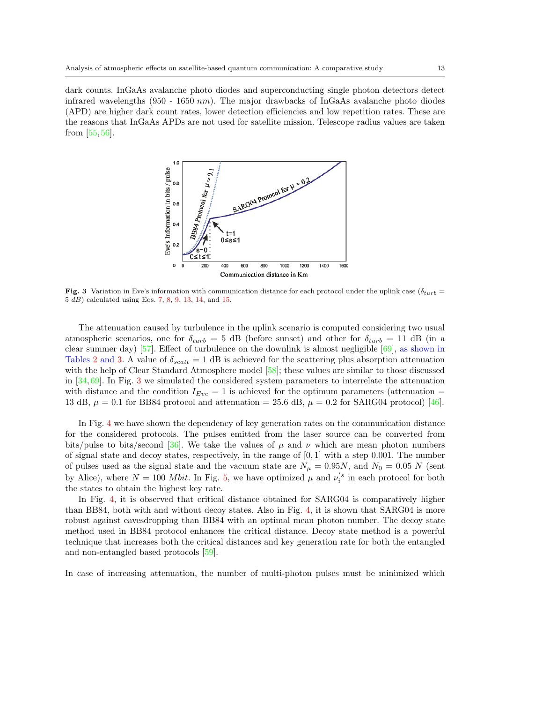dark counts. InGaAs avalanche photo diodes and superconducting single photon detectors detect infrared wavelengths (950 - 1650  $nm$ ). The major drawbacks of InGaAs avalanche photo diodes (APD) are higher dark count rates, lower detection efficiencies and low repetition rates. These are the reasons that InGaAs APDs are not used for satellite mission. Telescope radius values are taken from [55, 56].



Fig. 3 Variation in Eve's information with communication distance for each protocol under the uplink case ( $\delta_{turb}$  = 5 dB) calculated using Eqs. 7, 8, 9, 13, 14, and 15.

The attenuation caused by turbulence in the uplink scenario is computed considering two usual atmospheric scenarios, one for  $\delta_{turb} = 5$  dB (before sunset) and other for  $\delta_{turb} = 11$  dB (in a clear summer day) [57]. Effect of turbulence on the downlink is almost negligible [69], as shown in Tables 2 and 3. A value of  $\delta_{scatt} = 1$  dB is achieved for the scattering plus absorption attenuation with the help of Clear Standard Atmosphere model [58]; these values are similar to those discussed in  $[34, 69]$ . In Fig. 3 we simulated the considered system parameters to interrelate the attenuation with distance and the condition  $I_{Eve} = 1$  is achieved for the optimum parameters (attenuation = 13 dB,  $\mu = 0.1$  for BB84 protocol and attenuation = 25.6 dB,  $\mu = 0.2$  for SARG04 protocol) [46].

In Fig. 4 we have shown the dependency of key generation rates on the communication distance for the considered protocols. The pulses emitted from the laser source can be converted from bits/pulse to bits/second [36]. We take the values of  $\mu$  and  $\nu$  which are mean photon numbers of signal state and decoy states, respectively, in the range of  $[0, 1]$  with a step 0.001. The number of pulses used as the signal state and the vacuum state are  $N_{\mu} = 0.95N$ , and  $N_0 = 0.05 N$  (sent by Alice), where  $N = 100$  *Mbit*. In Fig. 5, we have optimized  $\mu$  and  $\nu_i^{'s}$  in each protocol for both the states to obtain the highest key rate.

In Fig. 4, it is observed that critical distance obtained for SARG04 is comparatively higher than BB84, both with and without decoy states. Also in Fig. 4, it is shown that SARG04 is more robust against eavesdropping than BB84 with an optimal mean photon number. The decoy state method used in BB84 protocol enhances the critical distance. Decoy state method is a powerful technique that increases both the critical distances and key generation rate for both the entangled and non-entangled based protocols [59].

In case of increasing attenuation, the number of multi-photon pulses must be minimized which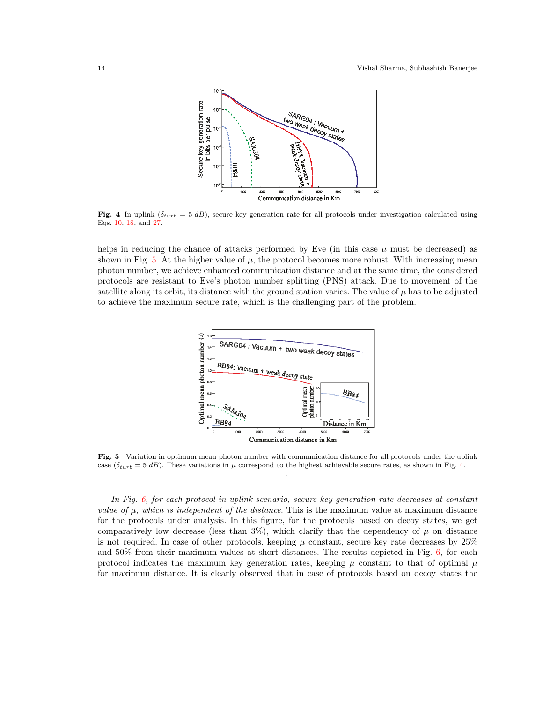

Fig. 4 In uplink ( $\delta_{turb} = 5 dB$ ), secure key generation rate for all protocols under investigation calculated using Eqs. 10, 18, and 27.

helps in reducing the chance of attacks performed by Eve (in this case  $\mu$  must be decreased) as shown in Fig. 5. At the higher value of  $\mu$ , the protocol becomes more robust. With increasing mean photon number, we achieve enhanced communication distance and at the same time, the considered protocols are resistant to Eve's photon number splitting (PNS) attack. Due to movement of the satellite along its orbit, its distance with the ground station varies. The value of  $\mu$  has to be adjusted to achieve the maximum secure rate, which is the challenging part of the problem.



Fig. 5 Variation in optimum mean photon number with communication distance for all protocols under the uplink case ( $\delta_{turb} = 5 dB$ ). These variations in  $\mu$  correspond to the highest achievable secure rates, as shown in Fig. 4. .

In Fig. 6, for each protocol in uplink scenario, secure key generation rate decreases at constant value of  $\mu$ , which is independent of the distance. This is the maximum value at maximum distance for the protocols under analysis. In this figure, for the protocols based on decoy states, we get comparatively low decrease (less than  $3\%$ ), which clarify that the dependency of  $\mu$  on distance is not required. In case of other protocols, keeping  $\mu$  constant, secure key rate decreases by 25% and  $50\%$  from their maximum values at short distances. The results depicted in Fig. 6, for each protocol indicates the maximum key generation rates, keeping  $\mu$  constant to that of optimal  $\mu$ for maximum distance. It is clearly observed that in case of protocols based on decoy states the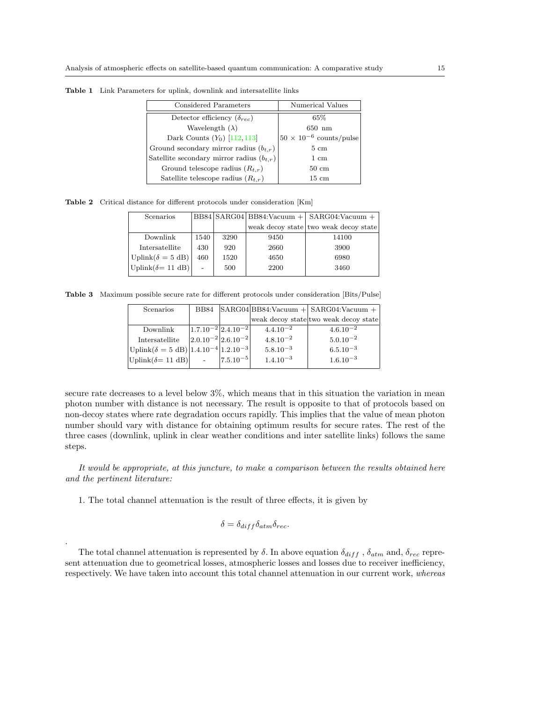| Considered Parameters                         | Numerical Values                 |
|-----------------------------------------------|----------------------------------|
| Detector efficiency $(\delta_{rec})$          | $65\%$                           |
| Wavelength $(\lambda)$                        | $650$ nm                         |
| Dark Counts $(Y_0)$ [112, 113]                | $50 \times 10^{-6}$ counts/pulse |
| Ground secondary mirror radius $(b_{t,r})$    | $5 \text{ cm}$                   |
| Satellite secondary mirror radius $(b_{t,r})$ | $1 \text{ cm}$                   |
| Ground telescope radius $(R_{t,r})$           | $50 \text{ cm}$                  |
| Satellite telescope radius $(R_{t,r})$        | $15 \text{ cm}$                  |

Table 1 Link Parameters for uplink, downlink and intersatellite links

Table 2 Critical distance for different protocols under consideration [Km]

| Scenarios                             |      |      |      | $BB84 SARG04 BB84:$ Vacuum +   $SARG04:$ Vacuum + |
|---------------------------------------|------|------|------|---------------------------------------------------|
|                                       |      |      |      | weak decoy state two weak decoy state             |
| Downlink                              | 1540 | 3290 | 9450 | 14100                                             |
| Intersatellite                        | 430  | 920  | 2660 | 3900                                              |
| Uplink( $\delta = 5$ dB)              | 460  | 1520 | 4650 | 6980                                              |
| $ $ Uplink $(\delta = 11 \text{ dB})$ |      | 500  | 2200 | 3460                                              |

Table 3 Maximum possible secure rate for different protocols under consideration [Bits/Pulse]

| Scenarios                                                        |                             |               | BB84 $ SARG04 BB84:Vacuum + SARG04:Vacuum +$ |
|------------------------------------------------------------------|-----------------------------|---------------|----------------------------------------------|
|                                                                  |                             |               | weak decoy state two weak decoy state        |
| Downlink                                                         | $ 1.7.10^{-2} 2.4.10^{-2} $ | $4.4.10^{-2}$ | $4.6.10^{-2}$                                |
| Intersatellite                                                   | $ 2.0.10^{-2} 2.6.10^{-2} $ | $4.8.10^{-2}$ | $5.0.10^{-2}$                                |
| $ \text{Uplink}(\delta = 5 \text{ dB}) 1.4.10^{-4} 1.2.10^{-3} $ |                             | $5.8.10^{-3}$ | $6.5.10^{-3}$                                |
| $ Uplink(\delta=11 dB) $                                         | $ 7.5.10^{-5} $             | $1.4.10^{-3}$ | $1.6.10^{-3}$                                |
|                                                                  |                             |               |                                              |

secure rate decreases to a level below  $3\%$ , which means that in this situation the variation in mean photon number with distance is not necessary. The result is opposite to that of protocols based on non-decoy states where rate degradation occurs rapidly. This implies that the value of mean photon number should vary with distance for obtaining optimum results for secure rates. The rest of the three cases (downlink, uplink in clear weather conditions and inter satellite links) follows the same steps.

It would be appropriate, at this juncture, to make a comparison between the results obtained here and the pertinent literature:

1. The total channel attenuation is the result of three effects, it is given by

.

$$
\delta = \delta_{diff} \delta_{atm} \delta_{rec}.
$$

The total channel attenuation is represented by  $\delta$ . In above equation  $\delta_{diff}$ ,  $\delta_{atm}$  and,  $\delta_{rec}$  represent attenuation due to geometrical losses, atmospheric losses and losses due to receiver inefficiency, respectively. We have taken into account this total channel attenuation in our current work, whereas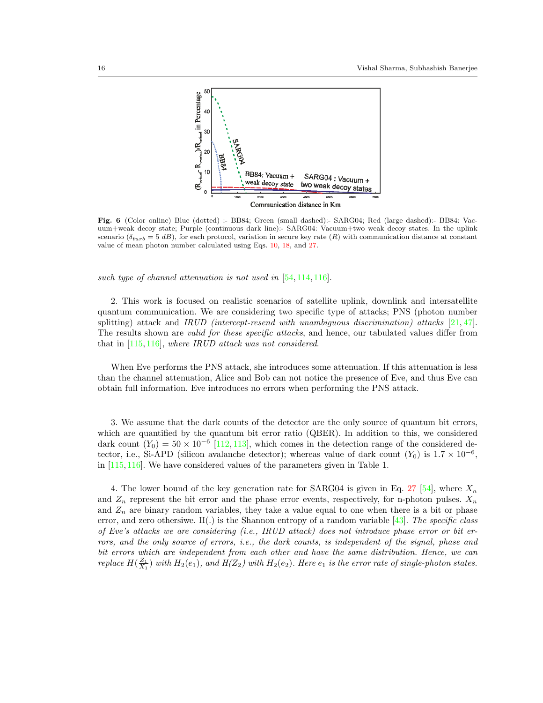

Fig. 6 (Color online) Blue (dotted) :- BB84; Green (small dashed):- SARG04; Red (large dashed):- BB84: Vacuum+weak decoy state; Purple (continuous dark line):- SARG04: Vacuum+two weak decoy states. In the uplink scenario ( $\delta_{turb} = 5 dB$ ), for each protocol, variation in secure key rate (R) with communication distance at constant value of mean photon number calculated using Eqs. 10, 18, and 27.

such type of channel attenuation is not used in [54, 114, 116].

2. This work is focused on realistic scenarios of satellite uplink, downlink and intersatellite quantum communication. We are considering two specific type of attacks; PNS (photon number splitting) attack and IRUD (intercept-resend with unambiguous discrimination) attacks  $[21, 47]$ . The results shown are *valid for these specific attacks*, and hence, our tabulated values differ from that in [115, 116], where IRUD attack was not considered.

When Eve performs the PNS attack, she introduces some attenuation. If this attenuation is less than the channel attenuation, Alice and Bob can not notice the presence of Eve, and thus Eve can obtain full information. Eve introduces no errors when performing the PNS attack.

3. We assume that the dark counts of the detector are the only source of quantum bit errors, which are quantified by the quantum bit error ratio (QBER). In addition to this, we considered dark count  $(Y_0) = 50 \times 10^{-6}$  [112, 113], which comes in the detection range of the considered detector, i.e., Si-APD (silicon avalanche detector); whereas value of dark count  $(Y_0)$  is  $1.7 \times 10^{-6}$ , in  $[115, 116]$ . We have considered values of the parameters given in Table 1.

4. The lower bound of the key generation rate for SARG04 is given in Eq. 27 [54], where  $X_n$ and  $Z_n$  represent the bit error and the phase error events, respectively, for n-photon pulses.  $X_n$ and  $Z_n$  are binary random variables, they take a value equal to one when there is a bit or phase error, and zero othersiwe.  $H(.)$  is the Shannon entropy of a random variable [43]. The specific class of Eve's attacks we are considering (i.e., IRUD attack) does not introduce phase error or bit errors, and the only source of errors, i.e., the dark counts, is independent of the signal, phase and bit errors which are independent from each other and have the same distribution. Hence, we can replace  $H(\frac{Z_1}{X_1})$  with  $H_2(e_1)$ , and  $H(Z_2)$  with  $H_2(e_2)$ . Here  $e_1$  is the error rate of single-photon states.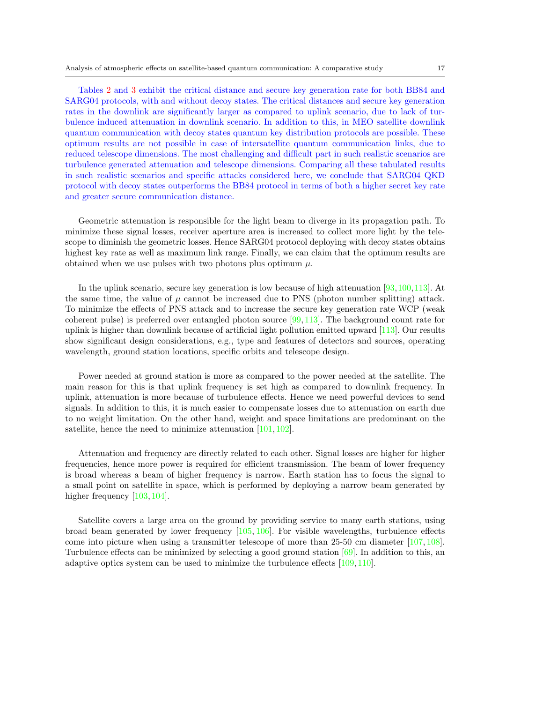Tables 2 and 3 exhibit the critical distance and secure key generation rate for both BB84 and SARG04 protocols, with and without decoy states. The critical distances and secure key generation rates in the downlink are significantly larger as compared to uplink scenario, due to lack of turbulence induced attenuation in downlink scenario. In addition to this, in MEO satellite downlink quantum communication with decoy states quantum key distribution protocols are possible. These optimum results are not possible in case of intersatellite quantum communication links, due to reduced telescope dimensions. The most challenging and difficult part in such realistic scenarios are turbulence generated attenuation and telescope dimensions. Comparing all these tabulated results in such realistic scenarios and specific attacks considered here, we conclude that SARG04 QKD protocol with decoy states outperforms the BB84 protocol in terms of both a higher secret key rate and greater secure communication distance.

Geometric attenuation is responsible for the light beam to diverge in its propagation path. To minimize these signal losses, receiver aperture area is increased to collect more light by the telescope to diminish the geometric losses. Hence SARG04 protocol deploying with decoy states obtains highest key rate as well as maximum link range. Finally, we can claim that the optimum results are obtained when we use pulses with two photons plus optimum  $\mu$ .

In the uplink scenario, secure key generation is low because of high attenuation [93,100,113]. At the same time, the value of  $\mu$  cannot be increased due to PNS (photon number splitting) attack. To minimize the effects of PNS attack and to increase the secure key generation rate WCP (weak coherent pulse) is preferred over entangled photon source [99, 113]. The background count rate for uplink is higher than downlink because of artificial light pollution emitted upward [113]. Our results show significant design considerations, e.g., type and features of detectors and sources, operating wavelength, ground station locations, specific orbits and telescope design.

Power needed at ground station is more as compared to the power needed at the satellite. The main reason for this is that uplink frequency is set high as compared to downlink frequency. In uplink, attenuation is more because of turbulence effects. Hence we need powerful devices to send signals. In addition to this, it is much easier to compensate losses due to attenuation on earth due to no weight limitation. On the other hand, weight and space limitations are predominant on the satellite, hence the need to minimize attenuation [101, 102].

Attenuation and frequency are directly related to each other. Signal losses are higher for higher frequencies, hence more power is required for efficient transmission. The beam of lower frequency is broad whereas a beam of higher frequency is narrow. Earth station has to focus the signal to a small point on satellite in space, which is performed by deploying a narrow beam generated by higher frequency [103, 104].

Satellite covers a large area on the ground by providing service to many earth stations, using broad beam generated by lower frequency  $[105, 106]$ . For visible wavelengths, turbulence effects come into picture when using a transmitter telescope of more than 25-50 cm diameter [107, 108]. Turbulence effects can be minimized by selecting a good ground station  $[69]$ . In addition to this, an adaptive optics system can be used to minimize the turbulence effects [109, 110].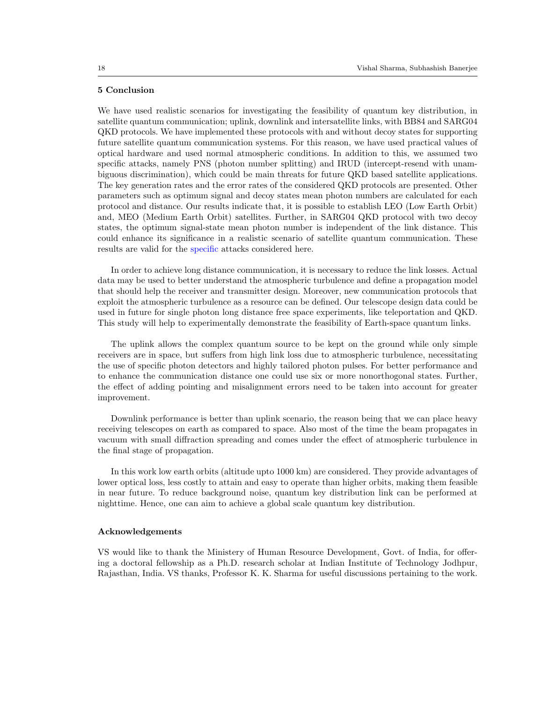### 5 Conclusion

We have used realistic scenarios for investigating the feasibility of quantum key distribution, in satellite quantum communication; uplink, downlink and intersatellite links, with BB84 and SARG04 QKD protocols. We have implemented these protocols with and without decoy states for supporting future satellite quantum communication systems. For this reason, we have used practical values of optical hardware and used normal atmospheric conditions. In addition to this, we assumed two specific attacks, namely PNS (photon number splitting) and IRUD (intercept-resend with unambiguous discrimination), which could be main threats for future QKD based satellite applications. The key generation rates and the error rates of the considered QKD protocols are presented. Other parameters such as optimum signal and decoy states mean photon numbers are calculated for each protocol and distance. Our results indicate that, it is possible to establish LEO (Low Earth Orbit) and, MEO (Medium Earth Orbit) satellites. Further, in SARG04 QKD protocol with two decoy states, the optimum signal-state mean photon number is independent of the link distance. This could enhance its significance in a realistic scenario of satellite quantum communication. These results are valid for the specific attacks considered here.

In order to achieve long distance communication, it is necessary to reduce the link losses. Actual data may be used to better understand the atmospheric turbulence and define a propagation model that should help the receiver and transmitter design. Moreover, new communication protocols that exploit the atmospheric turbulence as a resource can be defined. Our telescope design data could be used in future for single photon long distance free space experiments, like teleportation and QKD. This study will help to experimentally demonstrate the feasibility of Earth-space quantum links.

The uplink allows the complex quantum source to be kept on the ground while only simple receivers are in space, but suffers from high link loss due to atmospheric turbulence, necessitating the use of specific photon detectors and highly tailored photon pulses. For better performance and to enhance the communication distance one could use six or more nonorthogonal states. Further, the effect of adding pointing and misalignment errors need to be taken into account for greater improvement.

Downlink performance is better than uplink scenario, the reason being that we can place heavy receiving telescopes on earth as compared to space. Also most of the time the beam propagates in vacuum with small diffraction spreading and comes under the effect of atmospheric turbulence in the final stage of propagation.

In this work low earth orbits (altitude upto 1000 km) are considered. They provide advantages of lower optical loss, less costly to attain and easy to operate than higher orbits, making them feasible in near future. To reduce background noise, quantum key distribution link can be performed at nighttime. Hence, one can aim to achieve a global scale quantum key distribution.

#### Acknowledgements

VS would like to thank the Ministery of Human Resource Development, Govt. of India, for offering a doctoral fellowship as a Ph.D. research scholar at Indian Institute of Technology Jodhpur, Rajasthan, India. VS thanks, Professor K. K. Sharma for useful discussions pertaining to the work.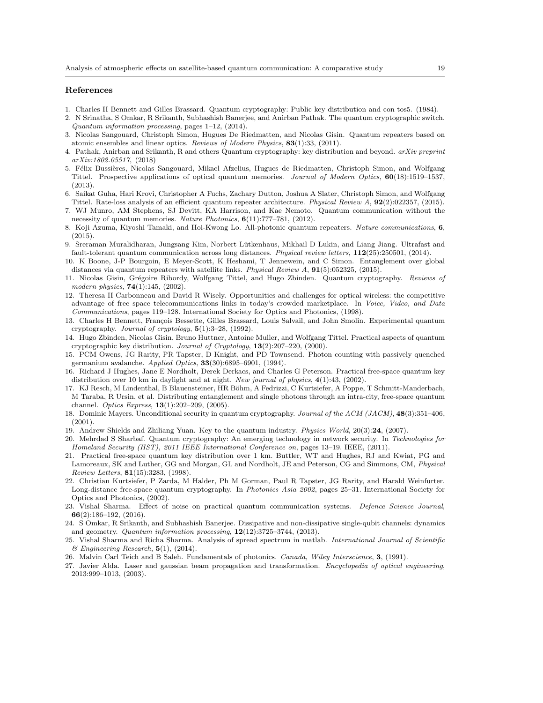#### References

- 1. Charles H Bennett and Gilles Brassard. Quantum cryptography: Public key distribution and con tos5. (1984).
- 2. N Srinatha, S Omkar, R Srikanth, Subhashish Banerjee, and Anirban Pathak. The quantum cryptographic switch. *Quantum information processing*, pages 1–12, (2014).
- 3. Nicolas Sangouard, Christoph Simon, Hugues De Riedmatten, and Nicolas Gisin. Quantum repeaters based on atomic ensembles and linear optics. *Reviews of Modern Physics*, 83(1):33, (2011).
- 4. Pathak, Anirban and Srikanth, R and others Quantum cryptography: key distribution and beyond. *arXiv preprint arXiv:1802.05517*, (2018)
- 5. Félix Bussières, Nicolas Sangouard, Mikael Afzelius, Hugues de Riedmatten, Christoph Simon, and Wolfgang Tittel. Prospective applications of optical quantum memories. *Journal of Modern Optics*, 60(18):1519–1537, (2013).
- 6. Saikat Guha, Hari Krovi, Christopher A Fuchs, Zachary Dutton, Joshua A Slater, Christoph Simon, and Wolfgang Tittel. Rate-loss analysis of an efficient quantum repeater architecture. *Physical Review A*, 92(2):022357, (2015).
- 7. WJ Munro, AM Stephens, SJ Devitt, KA Harrison, and Kae Nemoto. Quantum communication without the necessity of quantum memories. *Nature Photonics*, 6(11):777–781, (2012).
- 8. Koji Azuma, Kiyoshi Tamaki, and Hoi-Kwong Lo. All-photonic quantum repeaters. *Nature communications*, 6, (2015).
- 9. Sreraman Muralidharan, Jungsang Kim, Norbert Lütkenhaus, Mikhail D Lukin, and Liang Jiang. Ultrafast and fault-tolerant quantum communication across long distances. *Physical review letters*, 112(25):250501, (2014).
- 10. K Boone, J-P Bourgoin, E Meyer-Scott, K Heshami, T Jennewein, and C Simon. Entanglement over global distances via quantum repeaters with satellite links. *Physical Review A*, 91(5):052325, (2015).
- 11. Nicolas Gisin, Gr´egoire Ribordy, Wolfgang Tittel, and Hugo Zbinden. Quantum cryptography. *Reviews of modern physics*, 74(1):145, (2002).
- 12. Theresa H Carbonneau and David R Wisely. Opportunities and challenges for optical wireless: the competitive advantage of free space telecommunications links in today's crowded marketplace. In *Voice, Video, and Data Communications*, pages 119–128. International Society for Optics and Photonics, (1998).
- 13. Charles H Bennett, François Bessette, Gilles Brassard, Louis Salvail, and John Smolin. Experimental quantum cryptography. *Journal of cryptology*, 5(1):3–28, (1992).
- 14. Hugo Zbinden, Nicolas Gisin, Bruno Huttner, Antoine Muller, and Wolfgang Tittel. Practical aspects of quantum cryptographic key distribution. *Journal of Cryptology*, 13(2):207–220, (2000).
- 15. PCM Owens, JG Rarity, PR Tapster, D Knight, and PD Townsend. Photon counting with passively quenched germanium avalanche. *Applied Optics*, 33(30):6895–6901, (1994).
- 16. Richard J Hughes, Jane E Nordholt, Derek Derkacs, and Charles G Peterson. Practical free-space quantum key distribution over 10 km in daylight and at night. *New journal of physics*, 4(1):43, (2002).
- 17. KJ Resch, M Lindenthal, B Blauensteiner, HR Böhm, A Fedrizzi, C Kurtsiefer, A Poppe, T Schmitt-Manderbach, M Taraba, R Ursin, et al. Distributing entanglement and single photons through an intra-city, free-space quantum channel. *Optics Express*, 13(1):202–209, (2005).
- 18. Dominic Mayers. Unconditional security in quantum cryptography. *Journal of the ACM (JACM)*, 48(3):351–406, (2001).
- 19. Andrew Shields and Zhiliang Yuan. Key to the quantum industry. *Physics World*, 20(3):24, (2007).
- 20. Mehrdad S Sharbaf. Quantum cryptography: An emerging technology in network security. In *Technologies for Homeland Security (HST), 2011 IEEE International Conference on*, pages 13–19. IEEE, (2011).
- 21. Practical free-space quantum key distribution over 1 km. Buttler, WT and Hughes, RJ and Kwiat, PG and Lamoreaux, SK and Luther, GG and Morgan, GL and Nordholt, JE and Peterson, CG and Simmons, CM, *Physical Review Letters*, 81(15):3283, (1998).
- 22. Christian Kurtsiefer, P Zarda, M Halder, Ph M Gorman, Paul R Tapster, JG Rarity, and Harald Weinfurter. Long-distance free-space quantum cryptography. In *Photonics Asia 2002*, pages 25–31. International Society for Optics and Photonics, (2002).
- 23. Vishal Sharma. Effect of noise on practical quantum communication systems. *Defence Science Journal*, 66(2):186–192, (2016).
- 24. S Omkar, R Srikanth, and Subhashish Banerjee. Dissipative and non-dissipative single-qubit channels: dynamics and geometry. *Quantum information processing*, 12(12):3725–3744, (2013).
- 25. Vishal Sharma and Richa Sharma. Analysis of spread spectrum in matlab. *International Journal of Scientific & Engineering Research*, 5(1), (2014).
- 26. Malvin Carl Teich and B Saleh. Fundamentals of photonics. *Canada, Wiley Interscience*, 3, (1991).
- 27. Javier Alda. Laser and gaussian beam propagation and transformation. *Encyclopedia of optical engineering*, 2013:999–1013, (2003).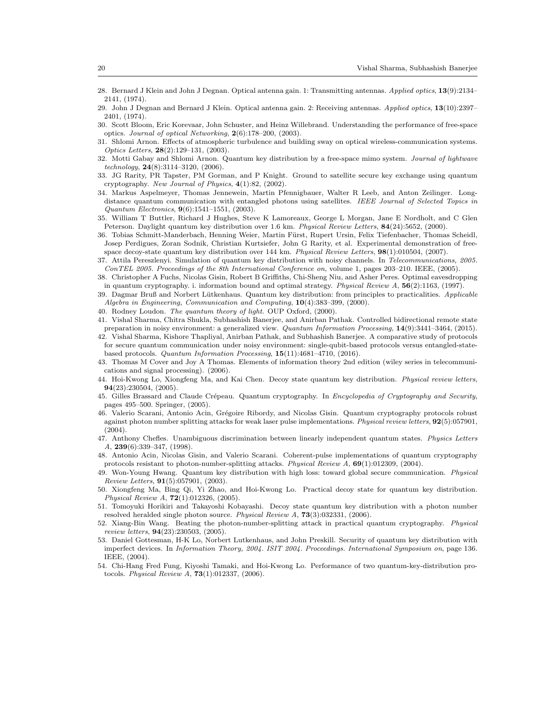- 28. Bernard J Klein and John J Degnan. Optical antenna gain. 1: Transmitting antennas. *Applied optics*, 13(9):2134– 2141, (1974).
- 29. John J Degnan and Bernard J Klein. Optical antenna gain. 2: Receiving antennas. *Applied optics*, 13(10):2397– 2401, (1974).
- 30. Scott Bloom, Eric Korevaar, John Schuster, and Heinz Willebrand. Understanding the performance of free-space optics. *Journal of optical Networking*, 2(6):178–200, (2003).
- 31. Shlomi Arnon. Effects of atmospheric turbulence and building sway on optical wireless-communication systems. *Optics Letters*, 28(2):129–131, (2003).
- 32. Motti Gabay and Shlomi Arnon. Quantum key distribution by a free-space mimo system. *Journal of lightwave technology*, 24(8):3114–3120, (2006).
- 33. JG Rarity, PR Tapster, PM Gorman, and P Knight. Ground to satellite secure key exchange using quantum cryptography. *New Journal of Physics*, 4(1):82, (2002).
- 34. Markus Aspelmeyer, Thomas Jennewein, Martin Pfennigbauer, Walter R Leeb, and Anton Zeilinger. Longdistance quantum communication with entangled photons using satellites. *IEEE Journal of Selected Topics in Quantum Electronics*, 9(6):1541–1551, (2003).
- 35. William T Buttler, Richard J Hughes, Steve K Lamoreaux, George L Morgan, Jane E Nordholt, and C Glen Peterson. Daylight quantum key distribution over 1.6 km. *Physical Review Letters*, 84(24):5652, (2000).
- 36. Tobias Schmitt-Manderbach, Henning Weier, Martin Fürst, Rupert Ursin, Felix Tiefenbacher, Thomas Scheidl, Josep Perdigues, Zoran Sodnik, Christian Kurtsiefer, John G Rarity, et al. Experimental demonstration of freespace decoy-state quantum key distribution over 144 km. *Physical Review Letters*, 98(1):010504, (2007).
- 37. Attila Pereszlenyi. Simulation of quantum key distribution with noisy channels. In *Telecommunications, 2005. ConTEL 2005. Proceedings of the 8th International Conference on*, volume 1, pages 203–210. IEEE, (2005).
- 38. Christopher A Fuchs, Nicolas Gisin, Robert B Griffiths, Chi-Sheng Niu, and Asher Peres. Optimal eavesdropping in quantum cryptography. i. information bound and optimal strategy. *Physical Review A*, 56(2):1163, (1997).
- 39. Dagmar Bruß and Norbert Lütkenhaus. Quantum key distribution: from principles to practicalities. *Applicable Algebra in Engineering, Communication and Computing*, 10(4):383–399, (2000).
- 40. Rodney Loudon. *The quantum theory of light*. OUP Oxford, (2000).
- 41. Vishal Sharma, Chitra Shukla, Subhashish Banerjee, and Anirban Pathak. Controlled bidirectional remote state preparation in noisy environment: a generalized view. *Quantum Information Processing*, 14(9):3441–3464, (2015).
- 42. Vishal Sharma, Kishore Thapliyal, Anirban Pathak, and Subhashish Banerjee. A comparative study of protocols for secure quantum communication under noisy environment: single-qubit-based protocols versus entangled-statebased protocols. *Quantum Information Processing*, 15(11):4681–4710, (2016).
- 43. Thomas M Cover and Joy A Thomas. Elements of information theory 2nd edition (wiley series in telecommunications and signal processing). (2006).
- 44. Hoi-Kwong Lo, Xiongfeng Ma, and Kai Chen. Decoy state quantum key distribution. *Physical review letters*, 94(23):230504, (2005).
- 45. Gilles Brassard and Claude Crépeau. Quantum cryptography. In *Encyclopedia of Cryptography and Security*, pages 495–500. Springer, (2005).
- 46. Valerio Scarani, Antonio Acin, Grégoire Ribordy, and Nicolas Gisin. Quantum cryptography protocols robust against photon number splitting attacks for weak laser pulse implementations. *Physical review letters*, 92(5):057901,  $(2004).$
- 47. Anthony Chefles. Unambiguous discrimination between linearly independent quantum states. *Physics Letters A*, 239(6):339–347, (1998).
- 48. Antonio Acin, Nicolas Gisin, and Valerio Scarani. Coherent-pulse implementations of quantum cryptography protocols resistant to photon-number-splitting attacks. *Physical Review A*, 69(1):012309, (2004).
- 49. Won-Young Hwang. Quantum key distribution with high loss: toward global secure communication. *Physical Review Letters*, 91(5):057901, (2003).
- 50. Xiongfeng Ma, Bing Qi, Yi Zhao, and Hoi-Kwong Lo. Practical decoy state for quantum key distribution. *Physical Review A*, 72(1):012326, (2005).
- 51. Tomoyuki Horikiri and Takayoshi Kobayashi. Decoy state quantum key distribution with a photon number resolved heralded single photon source. *Physical Review A*, 73(3):032331, (2006).
- 52. Xiang-Bin Wang. Beating the photon-number-splitting attack in practical quantum cryptography. *Physical review letters*, 94(23):230503, (2005).
- 53. Daniel Gottesman, H-K Lo, Norbert Lutkenhaus, and John Preskill. Security of quantum key distribution with imperfect devices. In *Information Theory, 2004. ISIT 2004. Proceedings. International Symposium on*, page 136. IEEE, (2004).
- 54. Chi-Hang Fred Fung, Kiyoshi Tamaki, and Hoi-Kwong Lo. Performance of two quantum-key-distribution protocols. *Physical Review A*, 73(1):012337, (2006).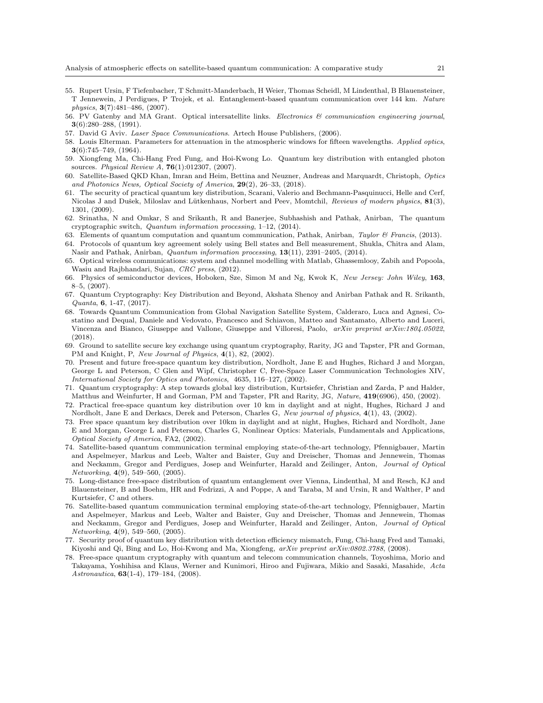- 55. Rupert Ursin, F Tiefenbacher, T Schmitt-Manderbach, H Weier, Thomas Scheidl, M Lindenthal, B Blauensteiner, T Jennewein, J Perdigues, P Trojek, et al. Entanglement-based quantum communication over 144 km. *Nature physics*, 3(7):481–486, (2007).
- 56. PV Gatenby and MA Grant. Optical intersatellite links. *Electronics & communication engineering journal*,  $3(6):280-288, (1991).$
- 57. David G Aviv. *Laser Space Communications*. Artech House Publishers, (2006).
- 58. Louis Elterman. Parameters for attenuation in the atmospheric windows for fifteen wavelengths. *Applied optics*,  $3(6):745-749, (1964).$
- 59. Xiongfeng Ma, Chi-Hang Fred Fung, and Hoi-Kwong Lo. Quantum key distribution with entangled photon sources. *Physical Review A*, 76(1):012307, (2007).
- 60. Satellite-Based QKD Khan, Imran and Heim, Bettina and Neuzner, Andreas and Marquardt, Christoph, *Optics and Photonics News, Optical Society of America*, 29(2), 26–33, (2018).
- 61. The security of practical quantum key distribution, Scarani, Valerio and Bechmann-Pasquinucci, Helle and Cerf, Nicolas J and Dušek, Miloslav and Lütkenhaus, Norbert and Peev, Momtchil, *Reviews of modern physics*, 81(3), 1301, (2009).
- 62. Srinatha, N and Omkar, S and Srikanth, R and Banerjee, Subhashish and Pathak, Anirban, The quantum cryptographic switch, *Quantum information processing*, 1–12, (2014).
- 63. Elements of quantum computation and quantum communication, Pathak, Anirban, *Taylor & Francis*, (2013).
- 64. Protocols of quantum key agreement solely using Bell states and Bell measurement, Shukla, Chitra and Alam, Nasir and Pathak, Anirban, *Quantum information processing*, 13(11), 2391–2405, (2014).
- 65. Optical wireless communications: system and channel modelling with Matlab, Ghassemlooy, Zabih and Popoola, Wasiu and Rajbhandari, Sujan, *CRC press*, (2012).
- 66. Physics of semiconductor devices, Hoboken, Sze, Simon M and Ng, Kwok K, *New Jersey: John Wiley*, 163, 8–5, (2007).
- 67. Quantum Cryptography: Key Distribution and Beyond, Akshata Shenoy and Anirban Pathak and R. Srikanth, *Quanta*, 6, 1-47, (2017).
- 68. Towards Quantum Communication from Global Navigation Satellite System, Calderaro, Luca and Agnesi, Costatino and Dequal, Daniele and Vedovato, Francesco and Schiavon, Matteo and Santamato, Alberto and Luceri, Vincenza and Bianco, Giuseppe and Vallone, Giuseppe and Villoresi, Paolo, *arXiv preprint arXiv:1804.05022*, (2018).
- 69. Ground to satellite secure key exchange using quantum cryptography, Rarity, JG and Tapster, PR and Gorman, PM and Knight, P, *New Journal of Physics*, 4(1), 82, (2002).
- 70. Present and future free-space quantum key distribution, Nordholt, Jane E and Hughes, Richard J and Morgan, George L and Peterson, C Glen and Wipf, Christopher C, Free-Space Laser Communication Technologies XIV, *International Society for Optics and Photonics*, 4635, 116–127, (2002).
- 71. Quantum cryptography: A step towards global key distribution, Kurtsiefer, Christian and Zarda, P and Halder, Matthus and Weinfurter, H and Gorman, PM and Tapster, PR and Rarity, JG, *Nature*, 419(6906), 450, (2002).
- 72. Practical free-space quantum key distribution over 10 km in daylight and at night, Hughes, Richard J and Nordholt, Jane E and Derkacs, Derek and Peterson, Charles G, *New journal of physics*, 4(1), 43, (2002).
- 73. Free space quantum key distribution over 10km in daylight and at night, Hughes, Richard and Nordholt, Jane E and Morgan, George L and Peterson, Charles G, Nonlinear Optics: Materials, Fundamentals and Applications, *Optical Society of America*, FA2, (2002).
- 74. Satellite-based quantum communication terminal employing state-of-the-art technology, Pfennigbauer, Martin and Aspelmeyer, Markus and Leeb, Walter and Baister, Guy and Dreischer, Thomas and Jennewein, Thomas and Neckamm, Gregor and Perdigues, Josep and Weinfurter, Harald and Zeilinger, Anton, *Journal of Optical Networking*, 4(9), 549–560, (2005).
- 75. Long-distance free-space distribution of quantum entanglement over Vienna, Lindenthal, M and Resch, KJ and Blauensteiner, B and Boehm, HR and Fedrizzi, A and Poppe, A and Taraba, M and Ursin, R and Walther, P and Kurtsiefer, C and others.
- 76. Satellite-based quantum communication terminal employing state-of-the-art technology, Pfennigbauer, Martin and Aspelmeyer, Markus and Leeb, Walter and Baister, Guy and Dreischer, Thomas and Jennewein, Thomas and Neckamm, Gregor and Perdigues, Josep and Weinfurter, Harald and Zeilinger, Anton, *Journal of Optical Networking*, 4(9), 549–560, (2005).
- 77. Security proof of quantum key distribution with detection efficiency mismatch, Fung, Chi-hang Fred and Tamaki, Kiyoshi and Qi, Bing and Lo, Hoi-Kwong and Ma, Xiongfeng, *arXiv preprint arXiv:0802.3788*, (2008).
- 78. Free-space quantum cryptography with quantum and telecom communication channels, Toyoshima, Morio and Takayama, Yoshihisa and Klaus, Werner and Kunimori, Hiroo and Fujiwara, Mikio and Sasaki, Masahide, *Acta Astronautica*, 63(1-4), 179–184, (2008).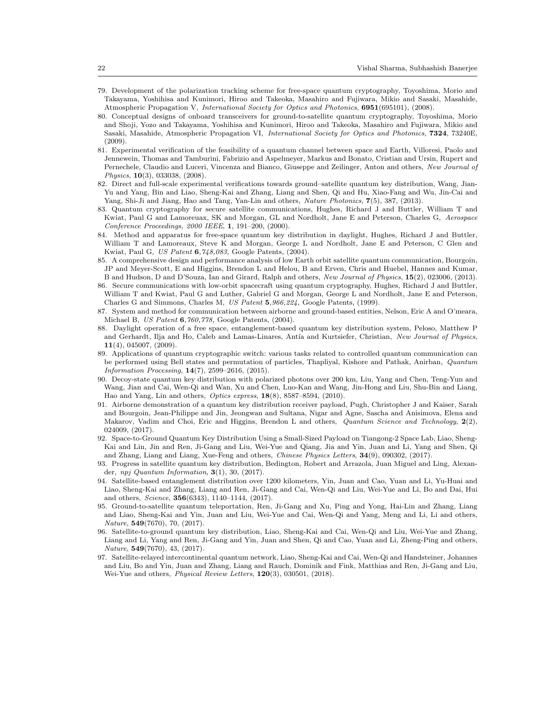- 79. Development of the polarization tracking scheme for free-space quantum cryptography, Toyoshima, Morio and Takayama, Yoshihisa and Kunimori, Hiroo and Takeoka, Masahiro and Fujiwara, Mikio and Sasaki, Masahide, Atmospheric Propagation V, *International Society for Optics and Photonics*, 6951(695101), (2008).
- 80. Conceptual designs of onboard transceivers for ground-to-satellite quantum cryptography, Toyoshima, Morio and Shoji, Yozo and Takayama, Yoshihisa and Kunimori, Hiroo and Takeoka, Masahiro and Fujiwara, Mikio and Sasaki, Masahide, Atmospheric Propagation VI, *International Society for Optics and Photonics*, 7324, 73240E, (2009).
- 81. Experimental verification of the feasibility of a quantum channel between space and Earth, Villoresi, Paolo and Jennewein, Thomas and Tamburini, Fabrizio and Aspelmeyer, Markus and Bonato, Cristian and Ursin, Rupert and Pernechele, Claudio and Luceri, Vincenza and Bianco, Giuseppe and Zeilinger, Anton and others, *New Journal of Physics*, 10(3), 033038, (2008).
- 82. Direct and full-scale experimental verifications towards ground–satellite quantum key distribution, Wang, Jian-Yu and Yang, Bin and Liao, Sheng-Kai and Zhang, Liang and Shen, Qi and Hu, Xiao-Fang and Wu, Jin-Cai and Yang, Shi-Ji and Jiang, Hao and Tang, Yan-Lin and others, *Nature Photonics*, 7(5), 387, (2013).
- 83. Quantum cryptography for secure satellite communications, Hughes, Richard J and Buttler, William T and Kwiat, Paul G and Lamoreuax, SK and Morgan, GL and Nordholt, Jane E and Peterson, Charles G, *Aerospace Conference Proceedings, 2000 IEEE*, 1, 191–200, (2000).
- 84. Method and apparatus for free-space quantum key distribution in daylight, Hughes, Richard J and Buttler, William T and Lamoreaux, Steve K and Morgan, George L and Nordholt, Jane E and Peterson, C Glen and Kwiat, Paul G, *US Patent* 6*,748,083,* Google Patents, (2004).
- 85. A comprehensive design and performance analysis of low Earth orbit satellite quantum communication, Bourgoin, JP and Meyer-Scott, E and Higgins, Brendon L and Helou, B and Erven, Chris and Huebel, Hannes and Kumar, B and Hudson, D and D'Souza, Ian and Girard, Ralph and others, *New Journal of Physics*, 15(2), 023006, (2013).
- 86. Secure communications with low-orbit spacecraft using quantum cryptography, Hughes, Richard J and Buttler, William T and Kwiat, Paul G and Luther, Gabriel G and Morgan, George L and Nordholt, Jane E and Peterson, Charles G and Simmons, Charles M, *US Patent* 5*,966,224,* Google Patents, (1999).
- 87. System and method for communication between airborne and ground-based entities, Nelson, Eric A and O'meara, Michael B, *US Patent* 6*,760,778,* Google Patents, (2004).
- 88. Daylight operation of a free space, entanglement-based quantum key distribution system, Peloso, Matthew P and Gerhardt, Ilja and Ho, Caleb and Lamas-Linares, Antía and Kurtsiefer, Christian, *New Journal of Physics*, 11(4), 045007, (2009).
- 89. Applications of quantum cryptographic switch: various tasks related to controlled quantum communication can be performed using Bell states and permutation of particles, Thapliyal, Kishore and Pathak, Anirban, *Quantum Information Processing*, 14(7), 2599–2616, (2015).
- 90. Decoy-state quantum key distribution with polarized photons over 200 km, Liu, Yang and Chen, Teng-Yun and Wang, Jian and Cai, Wen-Qi and Wan, Xu and Chen, Luo-Kan and Wang, Jin-Hong and Liu, Shu-Bin and Liang, Hao and Yang, Lin and others, *Optics express*, 18(8), 8587–8594, (2010).
- 91. Airborne demonstration of a quantum key distribution receiver payload, Pugh, Christopher J and Kaiser, Sarah and Bourgoin, Jean-Philippe and Jin, Jeongwan and Sultana, Nigar and Agne, Sascha and Anisimova, Elena and Makarov, Vadim and Choi, Eric and Higgins, Brendon L and others, *Quantum Science and Technology*, 2(2), 024009, (2017).
- 92. Space-to-Ground Quantum Key Distribution Using a Small-Sized Payload on Tiangong-2 Space Lab, Liao, Sheng-Kai and Lin, Jin and Ren, Ji-Gang and Liu, Wei-Yue and Qiang, Jia and Yin, Juan and Li, Yang and Shen, Qi and Zhang, Liang and Liang, Xue-Feng and others, *Chinese Physics Letters*, 34(9), 090302, (2017).
- 93. Progress in satellite quantum key distribution, Bedington, Robert and Arrazola, Juan Miguel and Ling, Alexander, *npj Quantum Information*, 3(1), 30, (2017).
- 94. Satellite-based entanglement distribution over 1200 kilometers, Yin, Juan and Cao, Yuan and Li, Yu-Huai and Liao, Sheng-Kai and Zhang, Liang and Ren, Ji-Gang and Cai, Wen-Qi and Liu, Wei-Yue and Li, Bo and Dai, Hui and others, *Science*, 356(6343), 1140–1144, (2017).
- 95. Ground-to-satellite quantum teleportation, Ren, Ji-Gang and Xu, Ping and Yong, Hai-Lin and Zhang, Liang and Liao, Sheng-Kai and Yin, Juan and Liu, Wei-Yue and Cai, Wen-Qi and Yang, Meng and Li, Li and others, *Nature*, 549(7670), 70, (2017).
- 96. Satellite-to-ground quantum key distribution, Liao, Sheng-Kai and Cai, Wen-Qi and Liu, Wei-Yue and Zhang, Liang and Li, Yang and Ren, Ji-Gang and Yin, Juan and Shen, Qi and Cao, Yuan and Li, Zheng-Ping and others, *Nature*, 549(7670), 43, (2017).
- 97. Satellite-relayed intercontinental quantum network, Liao, Sheng-Kai and Cai, Wen-Qi and Handsteiner, Johannes and Liu, Bo and Yin, Juan and Zhang, Liang and Rauch, Dominik and Fink, Matthias and Ren, Ji-Gang and Liu, Wei-Yue and others, *Physical Review Letters*, 120(3), 030501, (2018).